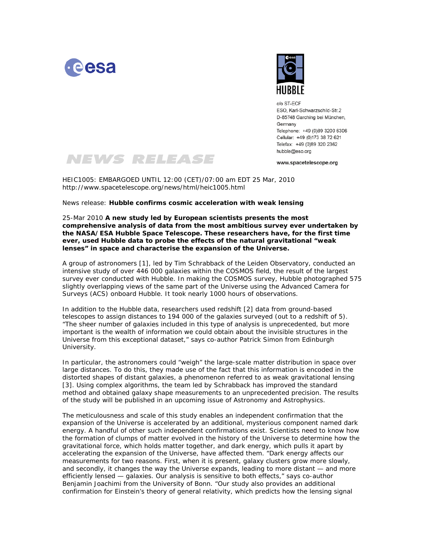



 $c/\alpha$  ST-FCF ESO, Karl-Schwarzschild-Str.2 D-85748 Garching bei München, Germany Telephone: +49 (0)89 3200 6306 Cellular: +49 (0)173 38 72 621 Telefax: +49 (0)89 320 2362 hubble@eso.org

www.spacetelescope.org



HEIC1005: EMBARGOED UNTIL 12:00 (CET)/07:00 am EDT 25 Mar, 2010 http://www.spacetelescope.org/news/html/heic1005.html

News release: **Hubble confirms cosmic acceleration with weak lensing**

25-Mar 2010 **A new study led by European scientists presents the most comprehensive analysis of data from the most ambitious survey ever undertaken by the NASA/ESA Hubble Space Telescope. These researchers have, for the first time ever, used Hubble data to probe the effects of the natural gravitational "weak lenses" in space and characterise the expansion of the Universe.** 

A group of astronomers [1], led by Tim Schrabback of the Leiden Observatory, conducted an intensive study of over 446 000 galaxies within the COSMOS field, the result of the largest survey ever conducted with Hubble. In making the COSMOS survey, Hubble photographed 575 slightly overlapping views of the same part of the Universe using the Advanced Camera for Surveys (ACS) onboard Hubble. It took nearly 1000 hours of observations.

In addition to the Hubble data, researchers used redshift [2] data from ground-based telescopes to assign distances to 194 000 of the galaxies surveyed (out to a redshift of 5). "*The sheer number of galaxies included in this type of analysis is unprecedented, but more important is the wealth of information we could obtain about the invisible structures in the Universe from this exceptional dataset,*" says co-author Patrick Simon from Edinburgh University.

In particular, the astronomers could "weigh" the large-scale matter distribution in space over large distances. To do this, they made use of the fact that this information is encoded in the distorted shapes of distant galaxies, a phenomenon referred to as weak gravitational lensing [3]. Using complex algorithms, the team led by Schrabback has improved the standard method and obtained galaxy shape measurements to an unprecedented precision. The results of the study will be published in an upcoming issue of Astronomy and Astrophysics.

The meticulousness and scale of this study enables an independent confirmation that the expansion of the Universe is accelerated by an additional, mysterious component named dark energy. A handful of other such independent confirmations exist. Scientists need to know how the formation of clumps of matter evolved in the history of the Universe to determine how the gravitational force, which holds matter together, and dark energy, which pulls it apart by accelerating the expansion of the Universe, have affected them. "*Dark energy affects our measurements for two reasons. First, when it is present, galaxy clusters grow more slowly, and secondly, it changes the way the Universe expands, leading to more distant — and more efficiently lensed — galaxies. Our analysis is sensitive to both effects,*" says co-author Benjamin Joachimi from the University of Bonn. "*Our study also provides an additional confirmation for Einstein's theory of general relativity, which predicts how the lensing signal*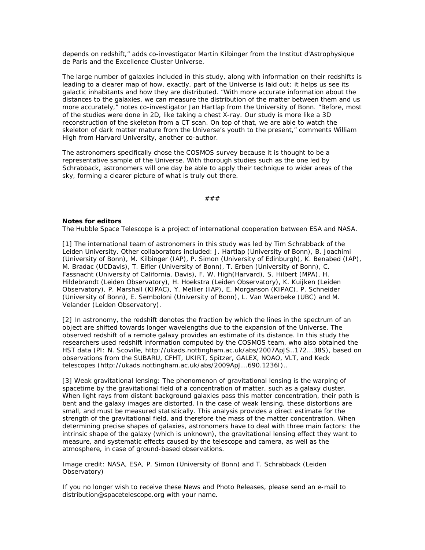*depends on redshift*," adds co-investigator Martin Kilbinger from the Institut d'Astrophysique de Paris and the Excellence Cluster Universe.

The large number of galaxies included in this study, along with information on their redshifts is leading to a clearer map of how, exactly, part of the Universe is laid out; it helps us see its galactic inhabitants and how they are distributed. "*With more accurate information about the distances to the galaxies, we can measure the distribution of the matter between them and us more accurately,*" notes co-investigator Jan Hartlap from the University of Bonn. "*Before, most of the studies were done in 2D, like taking a chest X-ray. Our study is more like a 3D reconstruction of the skeleton from a CT scan. On top of that, we are able to watch the skeleton of dark matter mature from the Universe's youth to the present,*" comments William High from Harvard University, another co-author.

The astronomers specifically chose the COSMOS survey because it is thought to be a representative sample of the Universe. With thorough studies such as the one led by Schrabback, astronomers will one day be able to apply their technique to wider areas of the sky, forming a clearer picture of what is truly out there.

###

## **Notes for editors**

The Hubble Space Telescope is a project of international cooperation between ESA and NASA.

[1] The international team of astronomers in this study was led by Tim Schrabback of the Leiden University. Other collaborators included: J. Hartlap (University of Bonn), B. Joachimi (University of Bonn), M. Kilbinger (IAP), P. Simon (University of Edinburgh), K. Benabed (IAP), M. Bradac (UCDavis), T. Eifler (University of Bonn), T. Erben (University of Bonn), C. Fassnacht (University of California, Davis), F. W. High(Harvard), S. Hilbert (MPA), H. Hildebrandt (Leiden Observatory), H. Hoekstra (Leiden Observatory), K. Kuijken (Leiden Observatory), P. Marshall (KIPAC), Y. Mellier (IAP), E. Morganson (KIPAC), P. Schneider (University of Bonn), E. Semboloni (University of Bonn), L. Van Waerbeke (UBC) and M. Velander (Leiden Observatory).

[2] In astronomy, the redshift denotes the fraction by which the lines in the spectrum of an object are shifted towards longer wavelengths due to the expansion of the Universe. The observed redshift of a remote galaxy provides an estimate of its distance. In this study the researchers used redshift information computed by the COSMOS team, who also obtained the HST data (PI: N. Scoville, http://ukads.nottingham.ac.uk/abs/2007ApJS..172...38S), based on observations from the SUBARU, CFHT, UKIRT, Spitzer, GALEX, NOAO, VLT, and Keck telescopes (http://ukads.nottingham.ac.uk/abs/2009ApJ...690.1236I)..

[3] Weak gravitational lensing: The phenomenon of gravitational lensing is the warping of spacetime by the gravitational field of a concentration of matter, such as a galaxy cluster. When light rays from distant background galaxies pass this matter concentration, their path is bent and the galaxy images are distorted. In the case of weak lensing, these distortions are small, and must be measured statistically. This analysis provides a direct estimate for the strength of the gravitational field, and therefore the mass of the matter concentration. When determining precise shapes of galaxies, astronomers have to deal with three main factors: the intrinsic shape of the galaxy (which is unknown), the gravitational lensing effect they want to measure, and systematic effects caused by the telescope and camera, as well as the atmosphere, in case of ground-based observations.

Image credit: NASA, ESA, P. Simon (University of Bonn) and T. Schrabback (Leiden Observatory)

If you no longer wish to receive these News and Photo Releases, please send an e-mail to distribution@spacetelescope.org with your name.